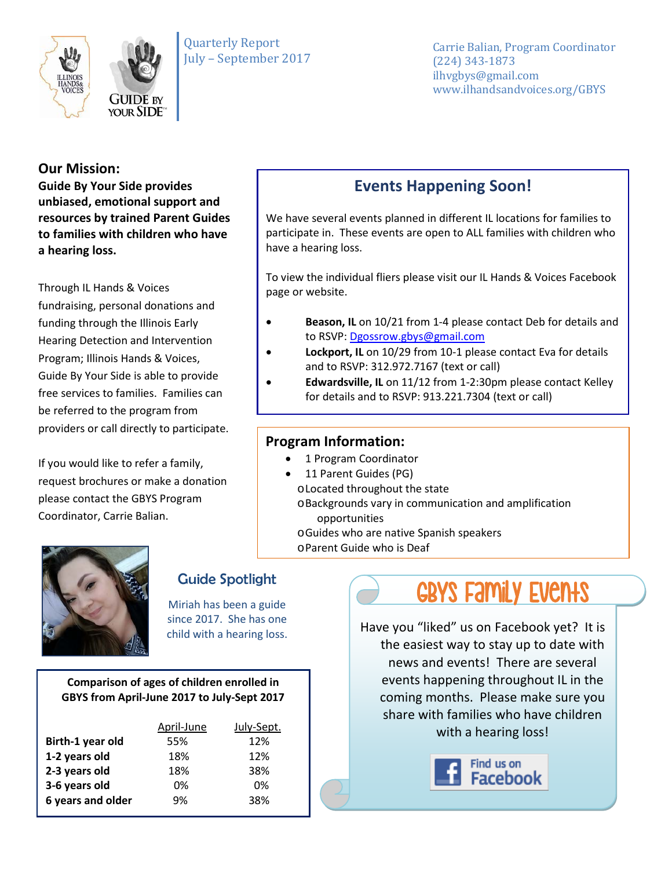



Carrie Balian, Program Coordinator (224) 343-1873 ilhvgbys@gmail.com www.ilhandsandvoices.org/GBYS

### **Our Mission:**

**Guide By Your Side provides unbiased, emotional support and resources by trained Parent Guides to families with children who have a hearing loss.** 

Through IL Hands & Voices fundraising, personal donations and funding through the Illinois Early Hearing Detection and Intervention Program; Illinois Hands & Voices, Guide By Your Side is able to provide free services to families. Families can be referred to the program from providers or call directly to participate.

If you would like to refer a family, request brochures or make a donation please contact the GBYS Program Coordinator, Carrie Balian.

# **Events Happening Soon!**

We have several events planned in different IL locations for families to participate in. These events are open to ALL families with children who have a hearing loss.

To view the individual fliers please visit our IL Hands & Voices Facebook page or website.

- **Beason, IL** on 10/21 from 1-4 please contact Deb for details and to RSVP: [Dgossrow.gbys@gmail.com](mailto:Dgossrow.gbys@gmail.com)
- **Lockport, IL** on 10/29 from 10-1 please contact Eva for details and to RSVP: 312.972.7167 (text or call)
- **Edwardsville, IL** on 11/12 from 1-2:30pm please contact Kelley for details and to RSVP: 913.221.7304 (text or call)

## **Program Information:**

- 1 Program Coordinator
- 11 Parent Guides (PG)
	- oLocated throughout the state
	- oBackgrounds vary in communication and amplification
		- opportunities
	- oGuides who are native Spanish speakers
	- oParent Guide who is Deaf



# Guide Spotlight

Miriah has been a guide since 2017. She has one child with a hearing loss.

#### **Comparison of ages of children enrolled in GBYS from April-June 2017 to July-Sept 2017**

|                   | April-June | July-Sept. |
|-------------------|------------|------------|
| Birth-1 year old  | 55%        | 12%        |
| 1-2 years old     | 18%        | 12%        |
| 2-3 years old     | 18%        | 38%        |
| 3-6 years old     | 0%         | 0%         |
| 6 years and older | 9%         | 38%        |

# GBYS FAMILY EVENTS

Have you "liked" us on Facebook yet? It is the easiest way to stay up to date with news and events! There are several events happening throughout IL in the coming months. Please make sure you share with families who have children with a hearing loss!